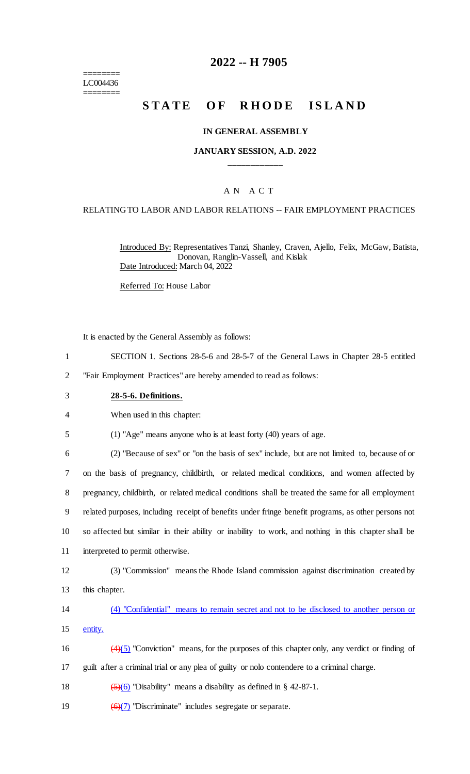======== LC004436 ========

## **2022 -- H 7905**

# **STATE OF RHODE ISLAND**

#### **IN GENERAL ASSEMBLY**

### **JANUARY SESSION, A.D. 2022 \_\_\_\_\_\_\_\_\_\_\_\_**

## A N A C T

#### RELATING TO LABOR AND LABOR RELATIONS -- FAIR EMPLOYMENT PRACTICES

Introduced By: Representatives Tanzi, Shanley, Craven, Ajello, Felix, McGaw, Batista, Donovan, Ranglin-Vassell, and Kislak Date Introduced: March 04, 2022

Referred To: House Labor

It is enacted by the General Assembly as follows:

- 1 SECTION 1. Sections 28-5-6 and 28-5-7 of the General Laws in Chapter 28-5 entitled
- 2 "Fair Employment Practices" are hereby amended to read as follows:
- 3 **28-5-6. Definitions.**

4 When used in this chapter:

5 (1) "Age" means anyone who is at least forty (40) years of age.

 (2) "Because of sex" or "on the basis of sex" include, but are not limited to, because of or on the basis of pregnancy, childbirth, or related medical conditions, and women affected by pregnancy, childbirth, or related medical conditions shall be treated the same for all employment related purposes, including receipt of benefits under fringe benefit programs, as other persons not so affected but similar in their ability or inability to work, and nothing in this chapter shall be interpreted to permit otherwise.

12 (3) "Commission" means the Rhode Island commission against discrimination created by 13 this chapter.

14 (4) "Confidential" means to remain secret and not to be disclosed to another person or 15 entity.

16  $\left(4\right)\left(5\right)$  "Conviction" means, for the purposes of this chapter only, any verdict or finding of 17 guilt after a criminal trial or any plea of guilty or nolo contendere to a criminal charge.

18  $(5)(6)$  "Disability" means a disability as defined in § 42-87-1.

19  $\left(\frac{6}{7}\right)$  "Discriminate" includes segregate or separate.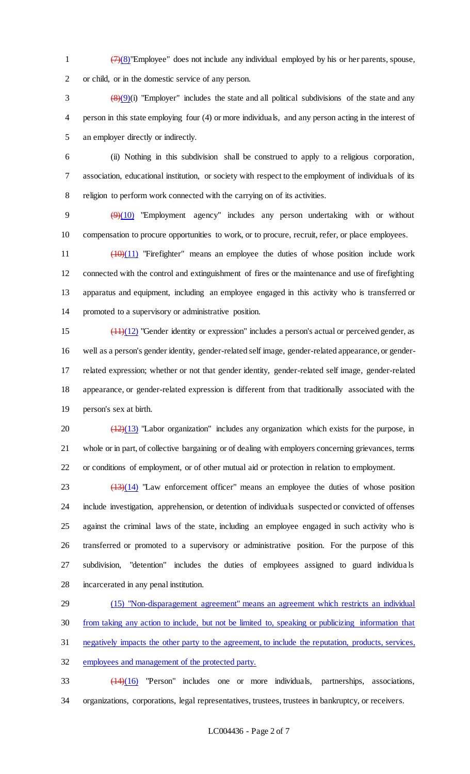1  $\left(7\right)(8)$ "Employee" does not include any individual employed by his or her parents, spouse, or child, or in the domestic service of any person.

 $\left(\frac{8}{9}\right)(9)$  "Employer" includes the state and all political subdivisions of the state and any person in this state employing four (4) or more individuals, and any person acting in the interest of an employer directly or indirectly.

 (ii) Nothing in this subdivision shall be construed to apply to a religious corporation, association, educational institution, or society with respect to the employment of individuals of its religion to perform work connected with the carrying on of its activities.

9  $(9)(10)$  "Employment agency" includes any person undertaking with or without compensation to procure opportunities to work, or to procure, recruit, refer, or place employees.

11 (10)(11) "Firefighter" means an employee the duties of whose position include work connected with the control and extinguishment of fires or the maintenance and use of firefighting apparatus and equipment, including an employee engaged in this activity who is transferred or promoted to a supervisory or administrative position.

 $\frac{(11)(12)}{2}$  "Gender identity or expression" includes a person's actual or perceived gender, as well as a person's gender identity, gender-related self image, gender-related appearance, or gender- related expression; whether or not that gender identity, gender-related self image, gender-related appearance, or gender-related expression is different from that traditionally associated with the person's sex at birth.

20  $\left(\frac{(12)(13)}{(12)(13)}\right)$  "Labor organization" includes any organization which exists for the purpose, in whole or in part, of collective bargaining or of dealing with employers concerning grievances, terms or conditions of employment, or of other mutual aid or protection in relation to employment.

  $\left(\frac{13}{14}\right)$  "Law enforcement officer" means an employee the duties of whose position include investigation, apprehension, or detention of individuals suspected or convicted of offenses against the criminal laws of the state, including an employee engaged in such activity who is transferred or promoted to a supervisory or administrative position. For the purpose of this subdivision, "detention" includes the duties of employees assigned to guard individua ls incarcerated in any penal institution.

 (15) "Non-disparagement agreement" means an agreement which restricts an individual from taking any action to include, but not be limited to, speaking or publicizing information that negatively impacts the other party to the agreement, to include the reputation, products, services, employees and management of the protected party.

 (14)(16) "Person" includes one or more individuals, partnerships, associations, organizations, corporations, legal representatives, trustees, trustees in bankruptcy, or receivers.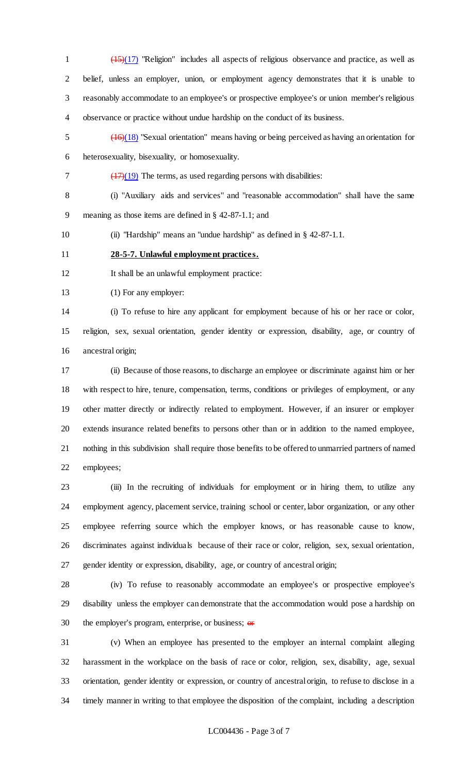$\frac{(15)(17)}{15}$  "Religion" includes all aspects of religious observance and practice, as well as belief, unless an employer, union, or employment agency demonstrates that it is unable to reasonably accommodate to an employee's or prospective employee's or union member's religious observance or practice without undue hardship on the conduct of its business.

 (16)(18) "Sexual orientation" means having or being perceived as having an orientation for heterosexuality, bisexuality, or homosexuality.

 $7 \left( \frac{17}{19} \right)$  The terms, as used regarding persons with disabilities:

 (i) "Auxiliary aids and services" and "reasonable accommodation" shall have the same meaning as those items are defined in § 42-87-1.1; and

(ii) "Hardship" means an "undue hardship" as defined in § 42-87-1.1.

**28-5-7. Unlawful employment practices.**

It shall be an unlawful employment practice:

(1) For any employer:

 (i) To refuse to hire any applicant for employment because of his or her race or color, religion, sex, sexual orientation, gender identity or expression, disability, age, or country of ancestral origin;

 (ii) Because of those reasons, to discharge an employee or discriminate against him or her with respect to hire, tenure, compensation, terms, conditions or privileges of employment, or any other matter directly or indirectly related to employment. However, if an insurer or employer extends insurance related benefits to persons other than or in addition to the named employee, nothing in this subdivision shall require those benefits to be offered to unmarried partners of named employees;

 (iii) In the recruiting of individuals for employment or in hiring them, to utilize any employment agency, placement service, training school or center, labor organization, or any other employee referring source which the employer knows, or has reasonable cause to know, discriminates against individuals because of their race or color, religion, sex, sexual orientation, gender identity or expression, disability, age, or country of ancestral origin;

 (iv) To refuse to reasonably accommodate an employee's or prospective employee's disability unless the employer can demonstrate that the accommodation would pose a hardship on 30 the employer's program, enterprise, or business;  $\Theta$ 

 (v) When an employee has presented to the employer an internal complaint alleging harassment in the workplace on the basis of race or color, religion, sex, disability, age, sexual orientation, gender identity or expression, or country of ancestral origin, to refuse to disclose in a timely manner in writing to that employee the disposition of the complaint, including a description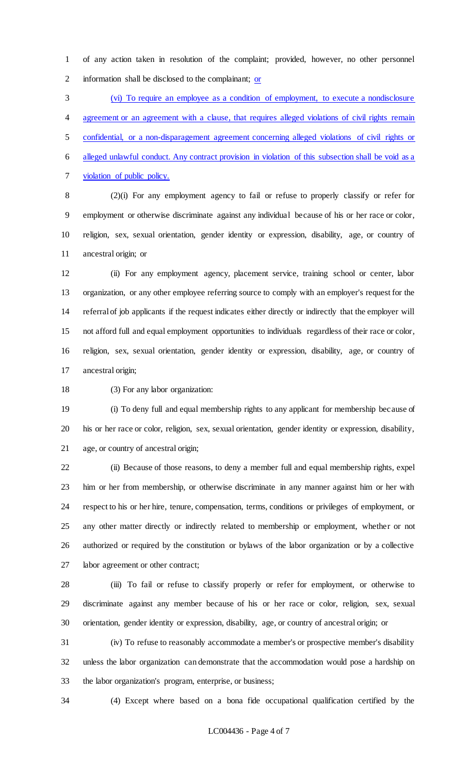of any action taken in resolution of the complaint; provided, however, no other personnel information shall be disclosed to the complainant; or

 (vi) To require an employee as a condition of employment, to execute a nondisclosure agreement or an agreement with a clause, that requires alleged violations of civil rights remain confidential, or a non-disparagement agreement concerning alleged violations of civil rights or alleged unlawful conduct. Any contract provision in violation of this subsection shall be void as a violation of public policy.

 (2)(i) For any employment agency to fail or refuse to properly classify or refer for employment or otherwise discriminate against any individual because of his or her race or color, religion, sex, sexual orientation, gender identity or expression, disability, age, or country of ancestral origin; or

 (ii) For any employment agency, placement service, training school or center, labor organization, or any other employee referring source to comply with an employer's request for the referral of job applicants if the request indicates either directly or indirectly that the employer will not afford full and equal employment opportunities to individuals regardless of their race or color, religion, sex, sexual orientation, gender identity or expression, disability, age, or country of ancestral origin;

(3) For any labor organization:

 (i) To deny full and equal membership rights to any applicant for membership because of his or her race or color, religion, sex, sexual orientation, gender identity or expression, disability, age, or country of ancestral origin;

 (ii) Because of those reasons, to deny a member full and equal membership rights, expel him or her from membership, or otherwise discriminate in any manner against him or her with respect to his or her hire, tenure, compensation, terms, conditions or privileges of employment, or any other matter directly or indirectly related to membership or employment, whether or not authorized or required by the constitution or bylaws of the labor organization or by a collective labor agreement or other contract;

 (iii) To fail or refuse to classify properly or refer for employment, or otherwise to discriminate against any member because of his or her race or color, religion, sex, sexual orientation, gender identity or expression, disability, age, or country of ancestral origin; or

 (iv) To refuse to reasonably accommodate a member's or prospective member's disability unless the labor organization can demonstrate that the accommodation would pose a hardship on the labor organization's program, enterprise, or business;

(4) Except where based on a bona fide occupational qualification certified by the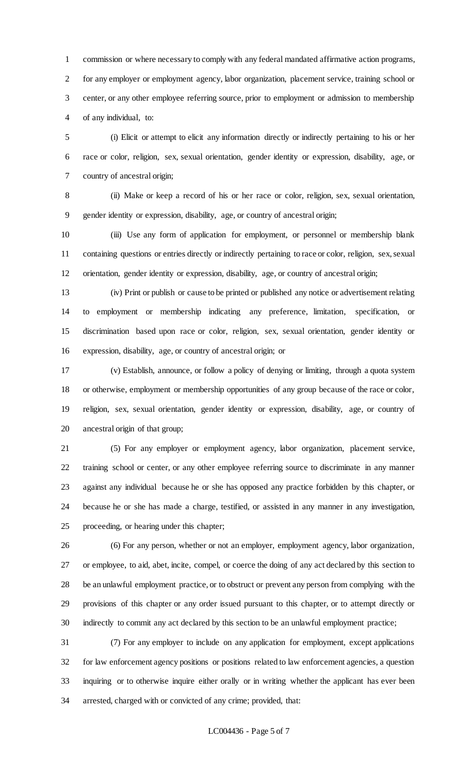commission or where necessary to comply with any federal mandated affirmative action programs, for any employer or employment agency, labor organization, placement service, training school or center, or any other employee referring source, prior to employment or admission to membership of any individual, to:

 (i) Elicit or attempt to elicit any information directly or indirectly pertaining to his or her race or color, religion, sex, sexual orientation, gender identity or expression, disability, age, or country of ancestral origin;

 (ii) Make or keep a record of his or her race or color, religion, sex, sexual orientation, gender identity or expression, disability, age, or country of ancestral origin;

 (iii) Use any form of application for employment, or personnel or membership blank containing questions or entries directly or indirectly pertaining to race or color, religion, sex, sexual orientation, gender identity or expression, disability, age, or country of ancestral origin;

 (iv) Print or publish or cause to be printed or published any notice or advertisement relating to employment or membership indicating any preference, limitation, specification, or discrimination based upon race or color, religion, sex, sexual orientation, gender identity or expression, disability, age, or country of ancestral origin; or

 (v) Establish, announce, or follow a policy of denying or limiting, through a quota system or otherwise, employment or membership opportunities of any group because of the race or color, religion, sex, sexual orientation, gender identity or expression, disability, age, or country of ancestral origin of that group;

 (5) For any employer or employment agency, labor organization, placement service, training school or center, or any other employee referring source to discriminate in any manner against any individual because he or she has opposed any practice forbidden by this chapter, or because he or she has made a charge, testified, or assisted in any manner in any investigation, proceeding, or hearing under this chapter;

 (6) For any person, whether or not an employer, employment agency, labor organization, or employee, to aid, abet, incite, compel, or coerce the doing of any act declared by this section to be an unlawful employment practice, or to obstruct or prevent any person from complying with the provisions of this chapter or any order issued pursuant to this chapter, or to attempt directly or indirectly to commit any act declared by this section to be an unlawful employment practice;

 (7) For any employer to include on any application for employment, except applications for law enforcement agency positions or positions related to law enforcement agencies, a question inquiring or to otherwise inquire either orally or in writing whether the applicant has ever been arrested, charged with or convicted of any crime; provided, that: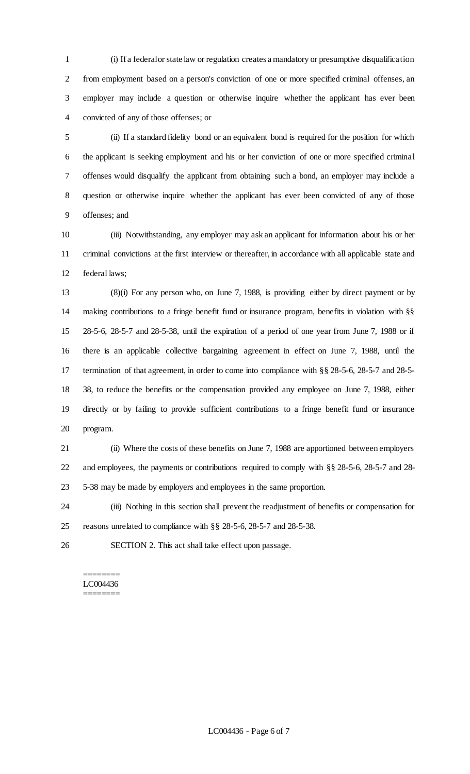(i) If a federal or state law or regulation creates a mandatory or presumptive disqualification from employment based on a person's conviction of one or more specified criminal offenses, an employer may include a question or otherwise inquire whether the applicant has ever been convicted of any of those offenses; or

 (ii) If a standard fidelity bond or an equivalent bond is required for the position for which the applicant is seeking employment and his or her conviction of one or more specified criminal offenses would disqualify the applicant from obtaining such a bond, an employer may include a question or otherwise inquire whether the applicant has ever been convicted of any of those offenses; and

 (iii) Notwithstanding, any employer may ask an applicant for information about his or her criminal convictions at the first interview or thereafter, in accordance with all applicable state and federal laws;

 (8)(i) For any person who, on June 7, 1988, is providing either by direct payment or by making contributions to a fringe benefit fund or insurance program, benefits in violation with §§ 28-5-6, 28-5-7 and 28-5-38, until the expiration of a period of one year from June 7, 1988 or if there is an applicable collective bargaining agreement in effect on June 7, 1988, until the termination of that agreement, in order to come into compliance with §§ 28-5-6, 28-5-7 and 28-5- 38, to reduce the benefits or the compensation provided any employee on June 7, 1988, either directly or by failing to provide sufficient contributions to a fringe benefit fund or insurance program.

 (ii) Where the costs of these benefits on June 7, 1988 are apportioned between employers and employees, the payments or contributions required to comply with §§ 28-5-6, 28-5-7 and 28- 5-38 may be made by employers and employees in the same proportion.

 (iii) Nothing in this section shall prevent the readjustment of benefits or compensation for reasons unrelated to compliance with §§ 28-5-6, 28-5-7 and 28-5-38.

SECTION 2. This act shall take effect upon passage.

#### ======== LC004436 ========

LC004436 - Page 6 of 7